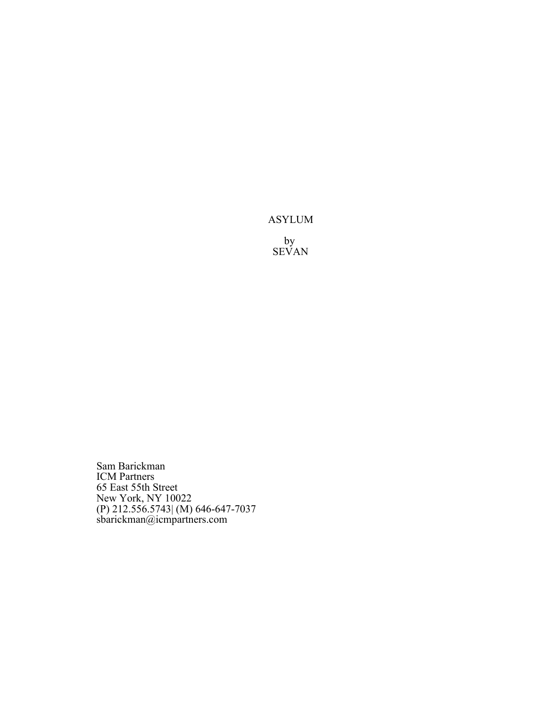# ASYLUM

by SEVAN

Sam Barickman ICM Partners 65 East 55th Street New York, NY 10022 (P) 212.556.5743| (M) 646-647-7037 sbarickman@icmpartners.com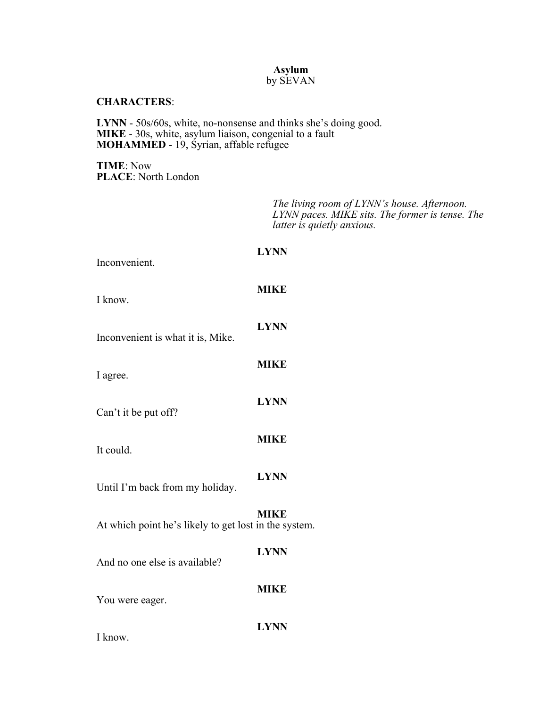## **Asylum** by SEVAN

#### **CHARACTERS**:

**LYNN** - 50s/60s, white, no-nonsense and thinks she's doing good. **MIKE** - 30s, white, asylum liaison, congenial to a fault **MOHAMMED** - 19, Syrian, affable refugee

**TIME**: Now **PLACE**: North London

> *The living room of LYNN's house. Afternoon. LYNN paces. MIKE sits. The former is tense. The latter is quietly anxious.*

| Inconvenient.                                         | <b>LYNN</b> |
|-------------------------------------------------------|-------------|
| I know.                                               | <b>MIKE</b> |
| Inconvenient is what it is, Mike.                     | <b>LYNN</b> |
| I agree.                                              | <b>MIKE</b> |
| Can't it be put off?                                  | <b>LYNN</b> |
| It could.                                             | <b>MIKE</b> |
| Until I'm back from my holiday.                       | <b>LYNN</b> |
| At which point he's likely to get lost in the system. | <b>MIKE</b> |
| And no one else is available?                         | <b>LYNN</b> |
| You were eager.                                       | <b>MIKE</b> |
|                                                       | <b>LYNN</b> |

I know.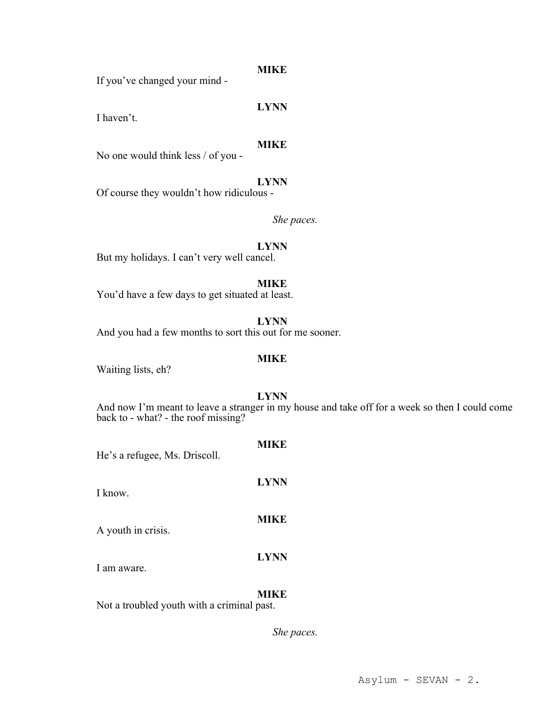## **MIKE**

If you've changed your mind -

**LYNN**

I haven't.

## **MIKE**

No one would think less / of you -

**LYNN** Of course they wouldn't how ridiculous -

*She paces.*

## **LYNN**

But my holidays. I can't very well cancel.

**MIKE**

You'd have a few days to get situated at least.

**LYNN**

And you had a few months to sort this out for me sooner.

## **MIKE**

Waiting lists, eh?

**LYNN**

And now I'm meant to leave a stranger in my house and take off for a week so then I could come back to - what? - the roof missing?

**MIKE** He's a refugee, Ms. Driscoll. **LYNN** I know. **MIKE** A youth in crisis. **LYNN** I am aware.

## **MIKE**

Not a troubled youth with a criminal past.

*She paces.*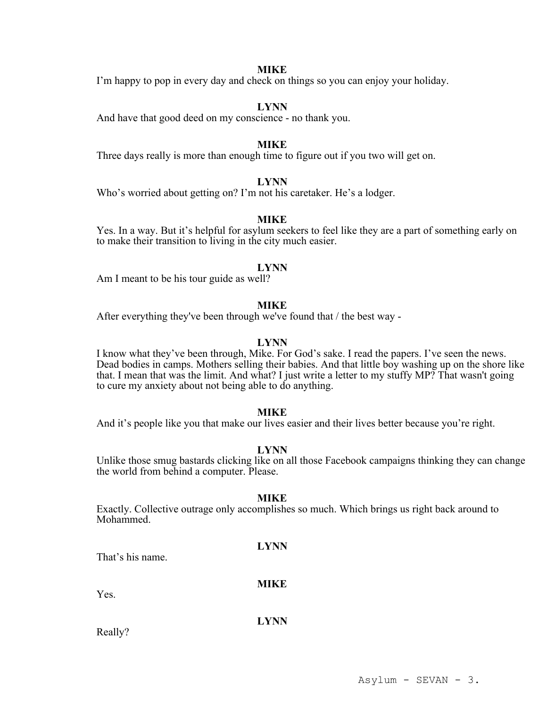## **MIKE**

I'm happy to pop in every day and check on things so you can enjoy your holiday.

#### **LYNN**

And have that good deed on my conscience - no thank you.

#### **MIKE**

Three days really is more than enough time to figure out if you two will get on.

## **LYNN**

Who's worried about getting on? I'm not his caretaker. He's a lodger.

#### **MIKE**

Yes. In a way. But it's helpful for asylum seekers to feel like they are a part of something early on to make their transition to living in the city much easier.

#### **LYNN**

Am I meant to be his tour guide as well?

#### **MIKE**

After everything they've been through we've found that / the best way -

## **LYNN**

I know what they've been through, Mike. For God's sake. I read the papers. I've seen the news. Dead bodies in camps. Mothers selling their babies. And that little boy washing up on the shore like that. I mean that was the limit. And what? I just write a letter to my stuffy MP? That wasn't going to cure my anxiety about not being able to do anything.

#### **MIKE**

And it's people like you that make our lives easier and their lives better because you're right.

#### **LYNN**

Unlike those smug bastards clicking like on all those Facebook campaigns thinking they can change the world from behind a computer. Please.

#### **MIKE**

Exactly. Collective outrage only accomplishes so much. Which brings us right back around to Mohammed.

That's his name.

#### **MIKE**

**LYNN**

Yes.

## **LYNN**

Really?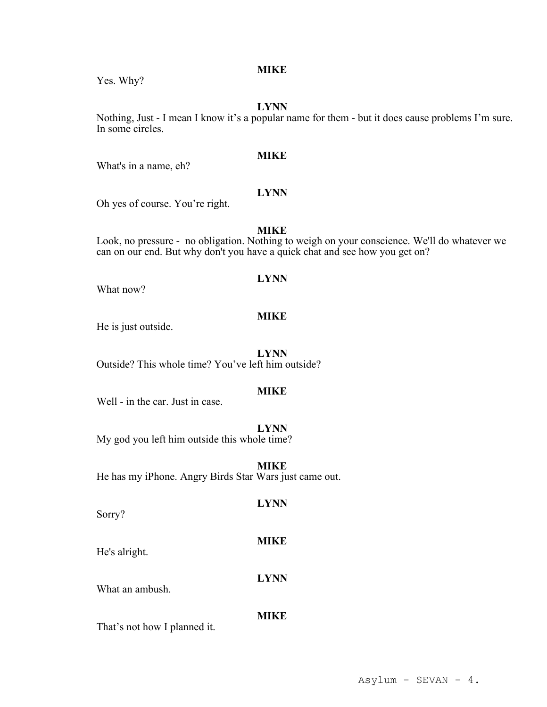# **MIKE**

Yes. Why?

#### **LYNN**

Nothing, Just - I mean I know it's a popular name for them - but it does cause problems I'm sure. In some circles.

#### **MIKE**

What's in a name, eh?

# **LYNN**

Oh yes of course. You're right.

## **MIKE**

Look, no pressure - no obligation. Nothing to weigh on your conscience. We'll do whatever we can on our end. But why don't you have a quick chat and see how you get on?

#### **LYNN**

What now?

## **MIKE**

He is just outside.

**LYNN**

Outside? This whole time? You've left him outside?

## **MIKE**

Well - in the car. Just in case.

## **LYNN**

My god you left him outside this whole time?

**MIKE** He has my iPhone. Angry Birds Star Wars just came out.

Sorry?

# **MIKE**

**LYNN**

**LYNN**

He's alright.

What an ambush.

## **MIKE**

That's not how I planned it.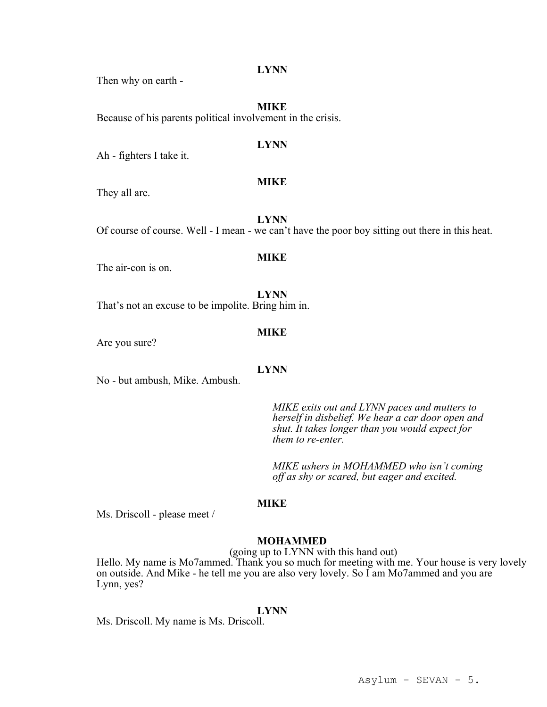Then why on earth -

**MIKE** Because of his parents political involvement in the crisis.

#### **LYNN**

Ah - fighters I take it.

## **MIKE**

They all are.

**LYNN** Of course of course. Well - I mean - we can't have the poor boy sitting out there in this heat.

#### **MIKE**

The air-con is on.

**LYNN** That's not an excuse to be impolite. Bring him in.

#### **MIKE**

Are you sure?

#### **LYNN**

No - but ambush, Mike. Ambush.

*MIKE exits out and LYNN paces and mutters to herself in disbelief. We hear a car door open and shut. It takes longer than you would expect for them to re-enter.*

*MIKE ushers in MOHAMMED who isn't coming off as shy or scared, but eager and excited.*

## **MIKE**

Ms. Driscoll - please meet /

## **MOHAMMED**

(going up to LYNN with this hand out)

Hello. My name is Mo7ammed. Thank you so much for meeting with me. Your house is very lovely on outside. And Mike - he tell me you are also very lovely. So I am Mo7ammed and you are Lynn, yes?

#### **LYNN**

Ms. Driscoll. My name is Ms. Driscoll.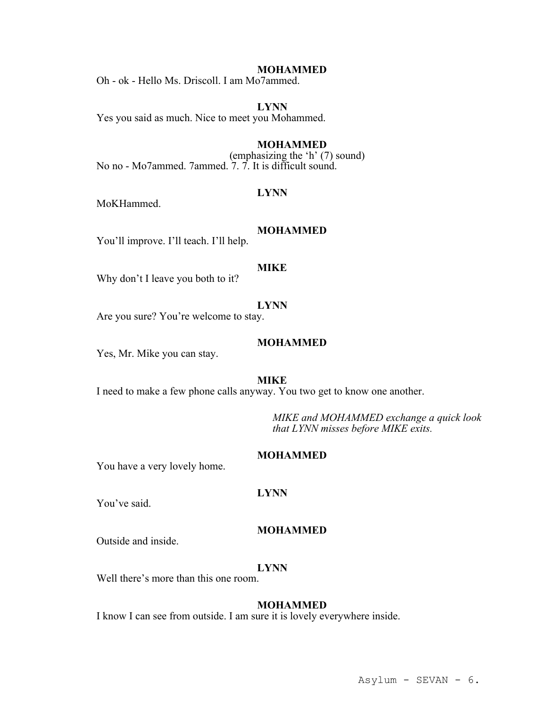Oh - ok - Hello Ms. Driscoll. I am Mo7ammed.

**LYNN** Yes you said as much. Nice to meet you Mohammed.

## **MOHAMMED**

(emphasizing the 'h' (7) sound) No no - Mo7ammed. 7ammed. 7. 7. It is difficult sound.

## **LYNN**

MoKHammed.

#### **MOHAMMED**

You'll improve. I'll teach. I'll help.

## **MIKE**

Why don't I leave you both to it?

## **LYNN**

Are you sure? You're welcome to stay.

## **MOHAMMED**

Yes, Mr. Mike you can stay.

#### **MIKE**

I need to make a few phone calls anyway. You two get to know one another.

*MIKE and MOHAMMED exchange a quick look that LYNN misses before MIKE exits.*

#### **MOHAMMED**

You have a very lovely home.

### **LYNN**

You've said.

## **MOHAMMED**

Outside and inside.

#### **LYNN**

Well there's more than this one room.

## **MOHAMMED**

I know I can see from outside. I am sure it is lovely everywhere inside.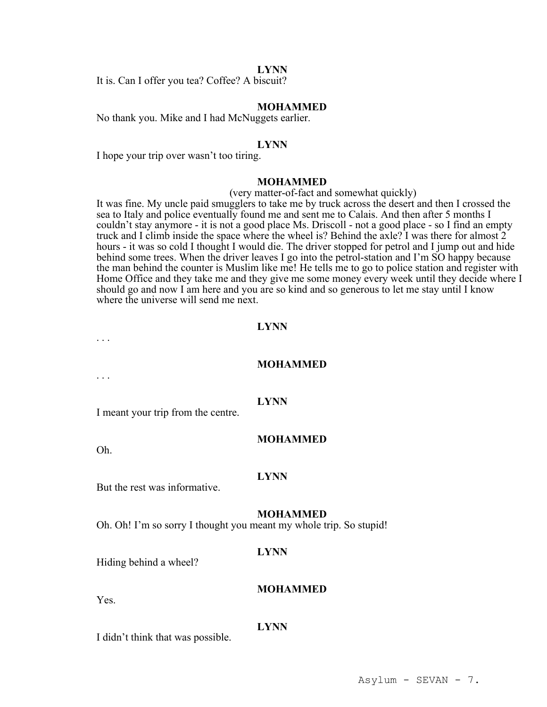It is. Can I offer you tea? Coffee? A biscuit?

## **MOHAMMED**

No thank you. Mike and I had McNuggets earlier.

#### **LYNN**

I hope your trip over wasn't too tiring.

## **MOHAMMED**

(very matter-of-fact and somewhat quickly)

It was fine. My uncle paid smugglers to take me by truck across the desert and then I crossed the sea to Italy and police eventually found me and sent me to Calais. And then after 5 months I couldn't stay anymore - it is not a good place Ms. Driscoll - not a good place - so I find an empty truck and I climb inside the space where the wheel is? Behind the axle? I was there for almost 2 hours - it was so cold I thought I would die. The driver stopped for petrol and I jump out and hide behind some trees. When the driver leaves I go into the petrol-station and I'm SO happy because the man behind the counter is Muslim like me! He tells me to go to police station and register with Home Office and they take me and they give me some money every week until they decide where I should go and now I am here and you are so kind and so generous to let me stay until I know where the universe will send me next.

## **LYNN**

#### **MOHAMMED**

. . .

. . .

#### **LYNN**

I meant your trip from the centre.

#### **MOHAMMED**

Oh.

#### **LYNN**

But the rest was informative.

#### **MOHAMMED**

**MOHAMMED**

Oh. Oh! I'm so sorry I thought you meant my whole trip. So stupid!

#### **LYNN**

Hiding behind a wheel?

Yes.

**LYNN**

I didn't think that was possible.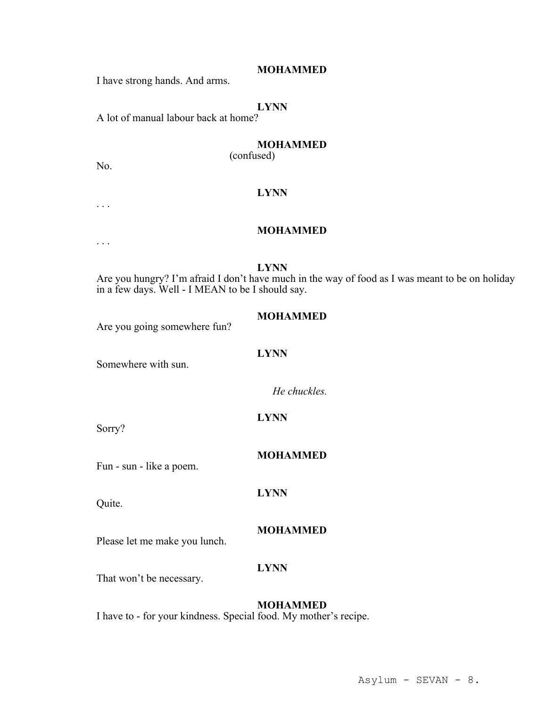I have strong hands. And arms.

## **LYNN**

A lot of manual labour back at home?

# **MOHAMMED**

(confused)

No.

. . .

# **LYNN**

#### **MOHAMMED**

. . .

#### **LYNN**

**LYNN**

Are you hungry? I'm afraid I don't have much in the way of food as I was meant to be on holiday in a few days. Well - I MEAN to be I should say.

#### **MOHAMMED**

Are you going somewhere fun?

Somewhere with sun.

*He chuckles.*

**LYNN**

Sorry?

**MOHAMMED**

Fun - sun - like a poem.

Quite.

## **MOHAMMED**

Please let me make you lunch.

## **LYNN**

**LYNN**

That won't be necessary.

## **MOHAMMED**

I have to - for your kindness. Special food. My mother's recipe.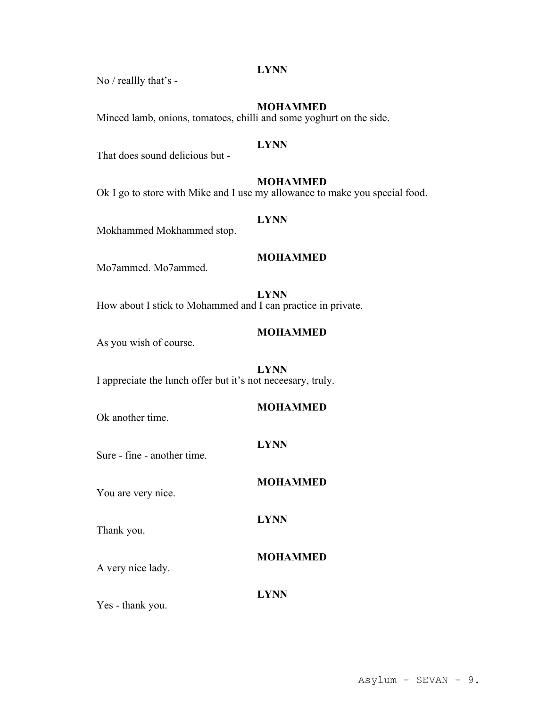No / reallly that's -

## **MOHAMMED**

Minced lamb, onions, tomatoes, chilli and some yoghurt on the side.

#### **LYNN**

That does sound delicious but -

## **MOHAMMED**

Ok I go to store with Mike and I use my allowance to make you special food.

## **LYNN**

Mokhammed Mokhammed stop.

## **MOHAMMED**

Mo7ammed. Mo7ammed.

**LYNN** How about I stick to Mohammed and I can practice in private.

## **MOHAMMED**

As you wish of course.

## **LYNN**

I appreciate the lunch offer but it's not neceesary, truly.

## **MOHAMMED**

**MOHAMMED**

Ok another time.

## **LYNN**

**LYNN**

You are very nice.

Sure - fine - another time.

Thank you.

**MOHAMMED**

A very nice lady.

## **LYNN**

Yes - thank you.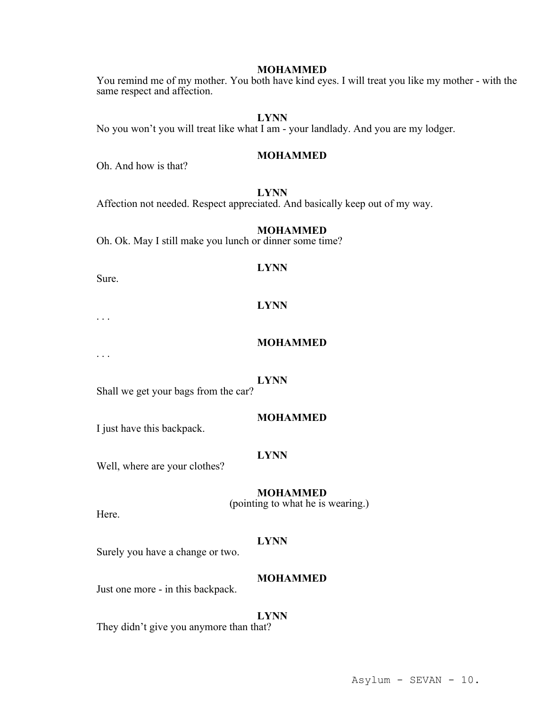You remind me of my mother. You both have kind eyes. I will treat you like my mother - with the same respect and affection.

## **LYNN**

No you won't you will treat like what I am - your landlady. And you are my lodger.

## **MOHAMMED**

Oh. And how is that?

## **LYNN**

Affection not needed. Respect appreciated. And basically keep out of my way.

#### **MOHAMMED**

Oh. Ok. May I still make you lunch or dinner some time?

## **LYNN**

Sure.

# **LYNN**

. . .

#### **MOHAMMED**

. . .

#### **LYNN**

Shall we get your bags from the car?

## **MOHAMMED**

I just have this backpack.

#### **LYNN**

Well, where are your clothes?

## **MOHAMMED**

(pointing to what he is wearing.)

Here.

## **LYNN**

Surely you have a change or two.

## **MOHAMMED**

Just one more - in this backpack.

#### **LYNN**

They didn't give you anymore than that?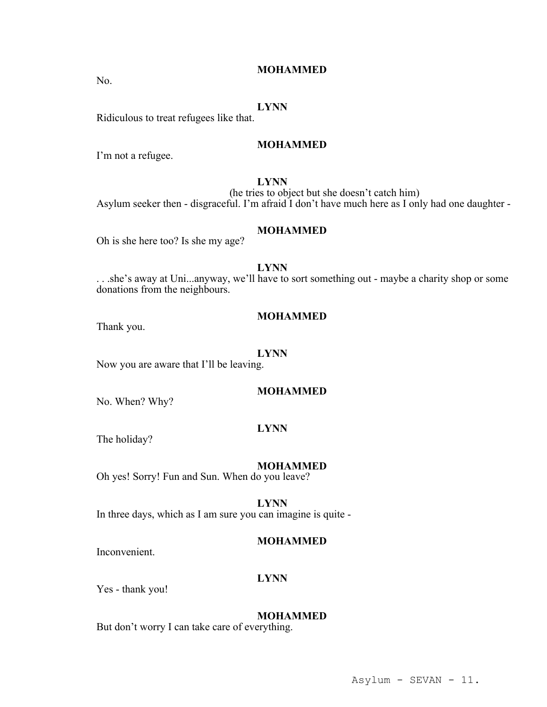Ridiculous to treat refugees like that.

#### **MOHAMMED**

**MOHAMMED**

I'm not a refugee.

## **LYNN**

(he tries to object but she doesn't catch him) Asylum seeker then - disgraceful. I'm afraid I don't have much here as I only had one daughter -

#### **MOHAMMED**

Oh is she here too? Is she my age?

## **LYNN**

. . .she's away at Uni...anyway, we'll have to sort something out - maybe a charity shop or some donations from the neighbours.

#### **MOHAMMED**

Thank you.

#### **LYNN**

Now you are aware that I'll be leaving.

#### **MOHAMMED**

No. When? Why?

## **LYNN**

The holiday?

#### **MOHAMMED**

Oh yes! Sorry! Fun and Sun. When do you leave?

**LYNN**

In three days, which as I am sure you can imagine is quite -

## **MOHAMMED**

Inconvenient.

#### **LYNN**

Yes - thank you!

## **MOHAMMED**

But don't worry I can take care of everything.

Asylum - SEVAN - 11.

No.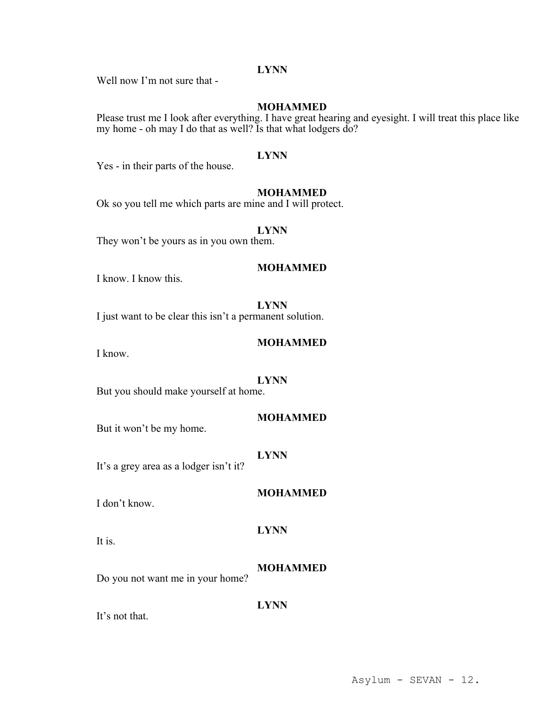Well now I'm not sure that -

#### **MOHAMMED**

Please trust me I look after everything. I have great hearing and eyesight. I will treat this place like my home - oh may I do that as well? Is that what lodgers do?

#### **LYNN**

Yes - in their parts of the house.

#### **MOHAMMED**

Ok so you tell me which parts are mine and I will protect.

#### **LYNN**

They won't be yours as in you own them.

## **MOHAMMED**

I know. I know this.

## **LYNN**

I just want to be clear this isn't a permanent solution.

## **MOHAMMED**

I know.

#### **LYNN**

But you should make yourself at home.

## **MOHAMMED**

But it won't be my home.

#### **LYNN**

It's a grey area as a lodger isn't it?

### **MOHAMMED**

I don't know.

It is.

**MOHAMMED**

**LYNN**

**LYNN**

Do you not want me in your home?

It's not that.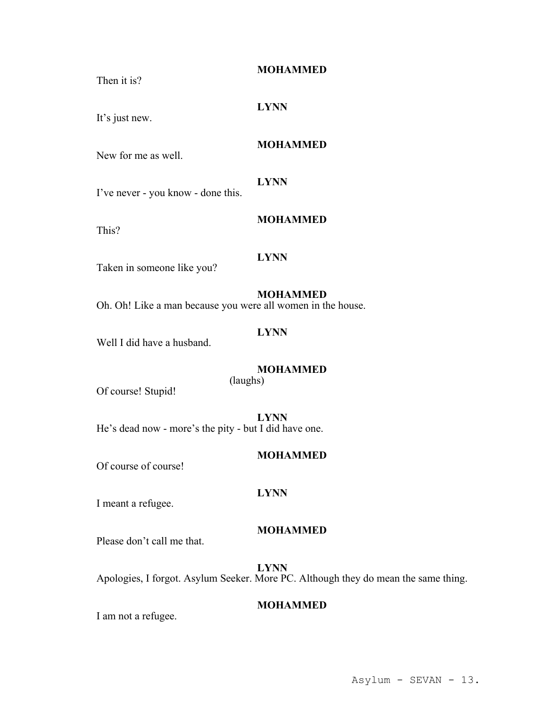**MOHAMMED**

**MOHAMMED**

Then it is?

## **LYNN**

It's just new.

## New for me as well.

#### **LYNN**

I've never - you know - done this.

This?

# **LYNN**

Taken in someone like you?

# **MOHAMMED**

Oh. Oh! Like a man because you were all women in the house.

## **LYNN**

Well I did have a husband.

## **MOHAMMED**

(laughs)

Of course! Stupid!

**LYNN** He's dead now - more's the pity - but I did have one.

## **MOHAMMED**

Of course of course!

## **LYNN**

I meant a refugee.

## **MOHAMMED**

Please don't call me that.

**LYNN** Apologies, I forgot. Asylum Seeker. More PC. Although they do mean the same thing.

## **MOHAMMED**

I am not a refugee.

Asylum - SEVAN - 13.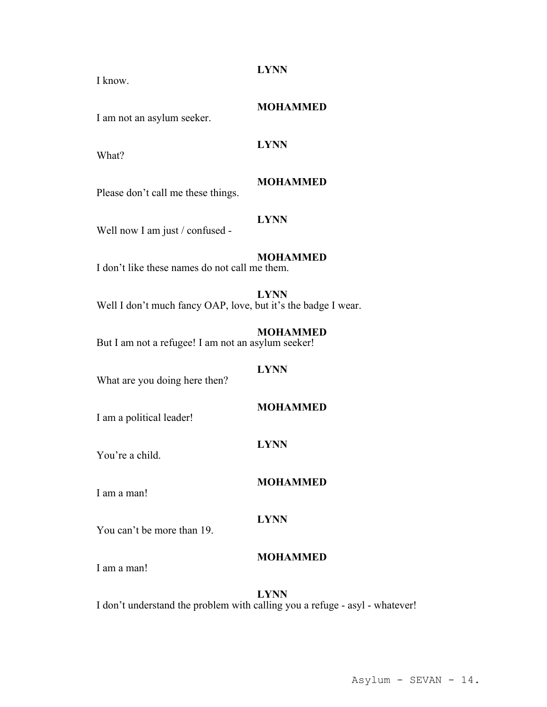I know.

I am not an asylum seeker.

What?

# **MOHAMMED**

**MOHAMMED**

Please don't call me these things.

# **LYNN**

**LYNN**

Well now I am just / confused -

# **MOHAMMED**

I don't like these names do not call me them.

**LYNN** Well I don't much fancy OAP, love, but it's the badge I wear.

**MOHAMMED** But I am not a refugee! I am not an asylum seeker!

## **LYNN**

What are you doing here then?

# **MOHAMMED**

I am a political leader!

# **LYNN**

You're a child.

# I am a man!

# **LYNN**

You can't be more than 19.

# **MOHAMMED**

**MOHAMMED**

I am a man!

## **LYNN** I don't understand the problem with calling you a refuge - asyl - whatever!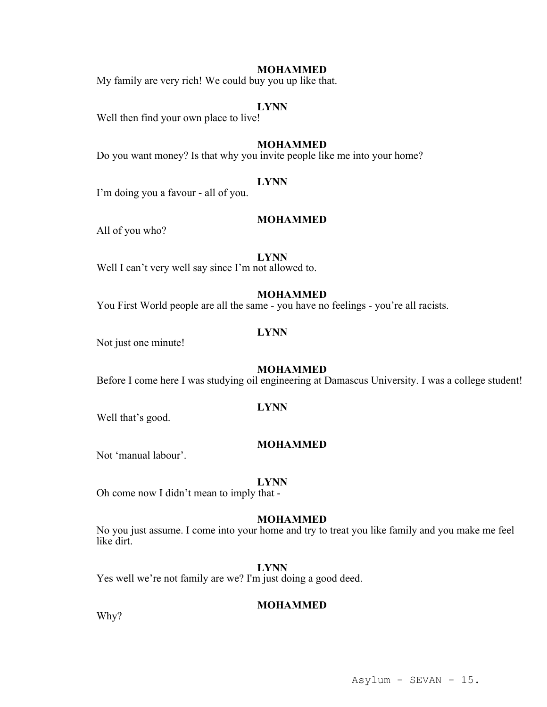My family are very rich! We could buy you up like that.

#### **LYNN**

Well then find your own place to live!

## **MOHAMMED**

Do you want money? Is that why you invite people like me into your home?

#### **LYNN**

I'm doing you a favour - all of you.

#### **MOHAMMED**

All of you who?

#### **LYNN**

Well I can't very well say since I'm not allowed to.

#### **MOHAMMED**

You First World people are all the same - you have no feelings - you're all racists.

## **LYNN**

Not just one minute!

## **MOHAMMED**

Before I come here I was studying oil engineering at Damascus University. I was a college student!

## **LYNN**

Well that's good.

## **MOHAMMED**

Not 'manual labour'.

#### **LYNN**

Oh come now I didn't mean to imply that -

#### **MOHAMMED**

No you just assume. I come into your home and try to treat you like family and you make me feel like dirt.

#### **LYNN**

Yes well we're not family are we? I'm just doing a good deed.

## **MOHAMMED**

Why?

## Asylum - SEVAN - 15.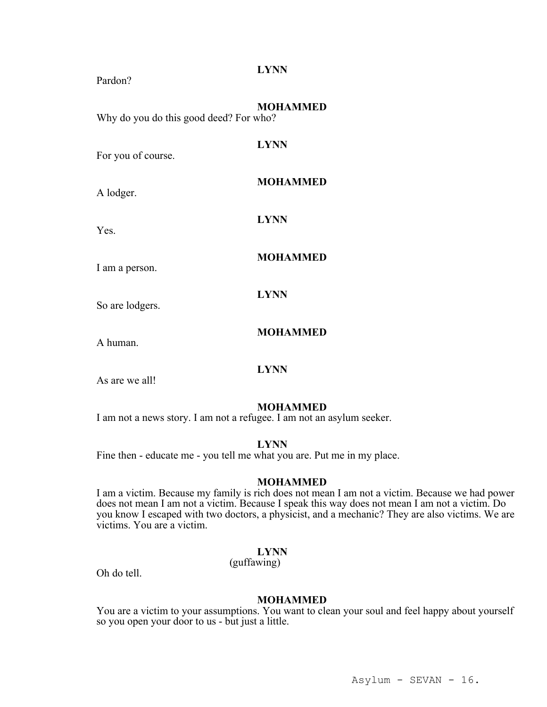| Pardon?                                | <b>LYNN</b>     |
|----------------------------------------|-----------------|
| Why do you do this good deed? For who? | <b>MOHAMMED</b> |
| For you of course.                     | <b>LYNN</b>     |
| A lodger.                              | <b>MOHAMMED</b> |
| Yes.                                   | <b>LYNN</b>     |
| I am a person.                         | <b>MOHAMMED</b> |
| So are lodgers.                        | <b>LYNN</b>     |
| A human.                               | <b>MOHAMMED</b> |

As are we all!

#### **MOHAMMED**

I am not a news story. I am not a refugee. I am not an asylum seeker.

## **LYNN**

**LYNN**

Fine then - educate me - you tell me what you are. Put me in my place.

## **MOHAMMED**

I am a victim. Because my family is rich does not mean I am not a victim. Because we had power does not mean I am not a victim. Because I speak this way does not mean I am not a victim. Do you know I escaped with two doctors, a physicist, and a mechanic? They are also victims. We are victims. You are a victim.

## **LYNN**

(guffawing)

Oh do tell.

## **MOHAMMED**

You are a victim to your assumptions. You want to clean your soul and feel happy about yourself so you open your door to us - but just a little.